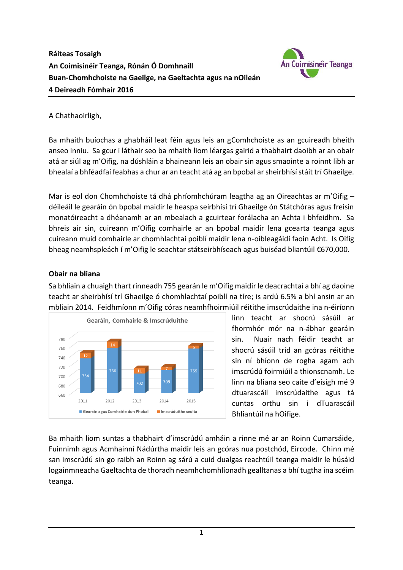

## A Chathaoirligh,

Ba mhaith buíochas a ghabháil leat féin agus leis an gComhchoiste as an gcuireadh bheith anseo inniu. Sa gcur i láthair seo ba mhaith liom léargas gairid a thabhairt daoibh ar an obair atá ar siúl ag m'Oifig, na dúshláin a bhaineann leis an obair sin agus smaointe a roinnt libh ar bhealaí a bhféadfaí feabhas a chur ar an teacht atá ag an bpobal ar sheirbhísí stáit trí Ghaeilge.

Mar is eol don Chomhchoiste tá dhá phríomhchúram leagtha ag an Oireachtas ar m'Oifig – déileáil le gearáin ón bpobal maidir le heaspa seirbhísí trí Ghaeilge ón Státchóras agus freisin monatóireacht a dhéanamh ar an mbealach a gcuirtear forálacha an Achta i bhfeidhm. Sa bhreis air sin, cuireann m'Oifig comhairle ar an bpobal maidir lena gcearta teanga agus cuireann muid comhairle ar chomhlachtaí poiblí maidir lena n-oibleagáidí faoin Acht. Is Oifig bheag neamhspleách í m'Oifig le seachtar státseirbhíseach agus buiséad bliantúil €670,000.

### **Obair na bliana**

Sa bhliain a chuaigh thart rinneadh 755 gearán le m'Oifig maidir le deacrachtaí a bhí ag daoine teacht ar sheirbhísí trí Ghaeilge ó chomhlachtaí poiblí na tíre; is ardú 6.5% a bhí ansin ar an mbliain 2014. Feidhmíonn m'Oifig córas neamhfhoirmiúil réitithe imscrúdaithe ina n-éiríonn



linn teacht ar shocrú sásúil ar fhormhór mór na n-ábhar gearáin sin. Nuair nach féidir teacht ar shocrú sásúil tríd an gcóras réitithe sin ní bhíonn de rogha agam ach imscrúdú foirmiúil a thionscnamh. Le linn na bliana seo caite d'eisigh mé 9 dtuarascáil imscrúdaithe agus tá cuntas orthu sin i dTuarascáil Bhliantúil na hOifige.

Ba mhaith liom suntas a thabhairt d'imscrúdú amháin a rinne mé ar an Roinn Cumarsáide, Fuinnimh agus Acmhainní Nádúrtha maidir leis an gcóras nua postchód, Eircode. Chinn mé san imscrúdú sin go raibh an Roinn ag sárú a cuid dualgas reachtúil teanga maidir le húsáid logainmneacha Gaeltachta de thoradh neamhchomhlíonadh gealltanas a bhí tugtha ina scéim teanga.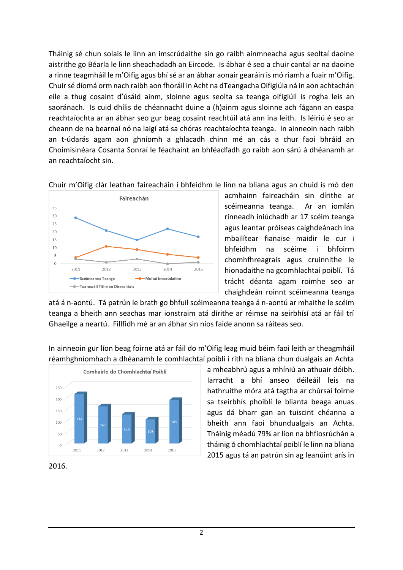Tháinig sé chun solais le linn an imscrúdaithe sin go raibh ainmneacha agus seoltaí daoine aistrithe go Béarla le linn sheachadadh an Eircode. Is ábhar é seo a chuir cantal ar na daoine a rinne teagmháil le m'Oifig agus bhí sé ar an ábhar aonair gearáin is mó riamh a fuair m'Oifig. Chuir sé díomá orm nach raibh aon fhoráil in Acht na dTeangacha Oifigiúla ná in aon achtachán eile a thug cosaint d'úsáid ainm, sloinne agus seolta sa teanga oifigiúil is rogha leis an saoránach. Is cuid dhílis de chéannacht duine a (h)ainm agus sloinne ach fágann an easpa reachtaíochta ar an ábhar seo gur beag cosaint reachtúil atá ann ina leith. Is léiriú é seo ar cheann de na bearnaí nó na laigí atá sa chóras reachtaíochta teanga. In ainneoin nach raibh an t-údarás agam aon ghníomh a ghlacadh chinn mé an cás a chur faoi bhráid an Choimisinéara Cosanta Sonraí le féachaint an bhféadfadh go raibh aon sárú á dhéanamh ar an reachtaíocht sin.



Chuir m'Oifig clár leathan faireacháin i bhfeidhm le linn na bliana agus an chuid is mó den

acmhainn faireacháin sin dírithe ar scéimeanna teanga. Ar an iomlán rinneadh iniúchadh ar 17 scéim teanga agus leantar próiseas caighdeánach ina mbailítear fianaise maidir le cur i bhfeidhm na scéime i bhfoirm chomhfhreagrais agus cruinnithe le hionadaithe na gcomhlachtaí poiblí. Tá trácht déanta agam roimhe seo ar chaighdeán roinnt scéimeanna teanga

atá á n-aontú. Tá patrún le brath go bhfuil scéimeanna teanga á n-aontú ar mhaithe le scéim teanga a bheith ann seachas mar ionstraim atá dírithe ar réimse na seirbhísí atá ar fáil trí Ghaeilge a neartú. Fillfidh mé ar an ábhar sin níos faide anonn sa ráiteas seo.



In ainneoin gur líon beag foirne atá ar fáil do m'Oifig leag muid béim faoi leith ar theagmháil réamhghníomhach a dhéanamh le comhlachtaí poiblí i rith na bliana chun dualgais an Achta

> a mheabhrú agus a mhíniú an athuair dóibh. Iarracht a bhí anseo déileáil leis na hathruithe móra atá tagtha ar chúrsaí foirne sa tseirbhís phoiblí le blianta beaga anuas agus dá bharr gan an tuiscint chéanna a bheith ann faoi bhundualgais an Achta. Tháinig méadú 79% ar líon na bhfiosrúchán a tháinig ó chomhlachtaí poiblí le linn na bliana 2015 agus tá an patrún sin ag leanúint arís in

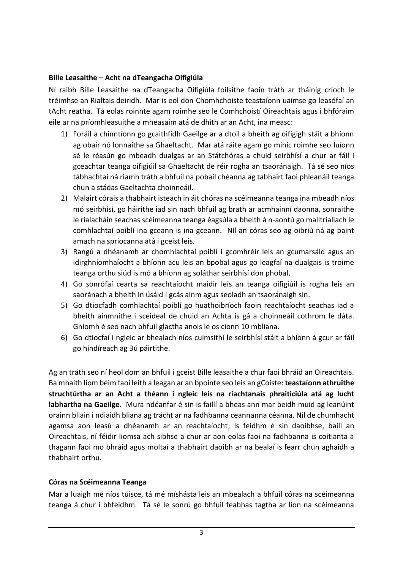### **Bille Leasaithe – Acht na dTeangacha Oifigiúla**

Ní raibh Bille Leasaithe na dTeangacha Oifigiúla foilsithe faoin tráth ar tháinig críoch le tréimhse an Rialtais deiridh. Mar is eol don Chomhchoiste teastaíonn uaimse go leasófaí an tAcht reatha. Tá eolas roinnte agam roimhe seo le Comhchoistí Oireachtais agus i bhfóraim eile ar na príomhleasuithe a mheasaim atá de dhíth ar an Acht, ina measc:

- 1) Foráil a chinntíonn go gcaithfidh Gaeilge ar a dtoil a bheith ag oifigigh stáit a bhíonn ag obair nó lonnaithe sa Ghaeltacht. Mar atá ráite agam go minic roimhe seo luíonn sé le réasún go mbeadh dualgas ar an Státchóras a chuid seirbhísí a chur ar fáil i gceachtar teanga oifigiúil sa Ghaeltacht de réir rogha an tsaoránaigh. Tá sé seo níos tábhachtaí ná riamh tráth a bhfuil na pobail chéanna ag tabhairt faoi phleanáil teanga chun a stádas Gaeltachta choinneáil.
- 2) Malairt córais a thabhairt isteach in áit chóras na scéimeanna teanga ina mbeadh níos mó seirbhísí, go háirithe iad sin nach bhfuil ag brath ar acmhainní daonna, sonraithe le rialacháin seachas scéimeanna teanga éagsúla a bheith á n-aontú go malltriallach le comhlachtaí poiblí ina gceann is ina gceann. Níl an córas seo ag oibriú ná ag baint amach na spriocanna atá i gceist leis.
- 3) Rangú a dhéanamh ar chomhlachtaí poiblí i gcomhréir leis an gcumarsáid agus an idirghníomhaíocht a bhíonn acu leis an bpobal agus go leagfaí na dualgais is troime teanga orthu siúd is mó a bhíonn ag soláthar seirbhísí don phobal.
- 4) Go sonrófaí cearta sa reachtaíocht maidir leis an teanga oifigiúil is rogha leis an saoránach a bheith in úsáid i gcás ainm agus seoladh an tsaoránaigh sin.
- 5) Go dtiocfadh comhlachtaí poiblí go huathoibríoch faoin reachtaíocht seachas iad a bheith ainmnithe i sceideal de chuid an Achta is gá a choinneáil cothrom le dáta. Gníomh é seo nach bhfuil glactha anois le os cionn 10 mbliana.
- 6) Go dtiocfaí i ngleic ar bhealach níos cuimsithí le seirbhísí stáit a bhíonn á gcur ar fáil go hindíreach ag 3ú páirtithe.

Ag an tráth seo ní heol dom an bhfuil i gceist Bille leasaithe a chur faoi bhráid an Oireachtais. Ba mhaith liom béim faoi leith a leagan ar an bpointe seo leis an gCoiste: **teastaíonn athruithe struchtúrtha ar an Acht a théann i ngleic leis na riachtanais phraiticiúla atá ag lucht labhartha na Gaeilge**. Mura ndéanfar é sin is faillí a bheas ann mar beidh muid ag leanúint orainn bliain i ndiaidh bliana ag trácht ar na fadhbanna ceannanna céanna. Níl de chumhacht agamsa aon leasú a dhéanamh ar an reachtaíocht; is feidhm é sin daoibhse, baill an Oireachtais, ní féidir liomsa ach sibhse a chur ar aon eolas faoi na fadhbanna is coitianta a thagann faoi mo bhráid agus moltaí a thabhairt daoibh ar na bealaí is fearr chun aghaidh a thabhairt orthu.

### **Córas na Scéimeanna Teanga**

Mar a luaigh mé níos túisce, tá mé míshásta leis an mbealach a bhfuil córas na scéimeanna teanga á chur i bhfeidhm. Tá sé le sonrú go bhfuil feabhas tagtha ar líon na scéimeanna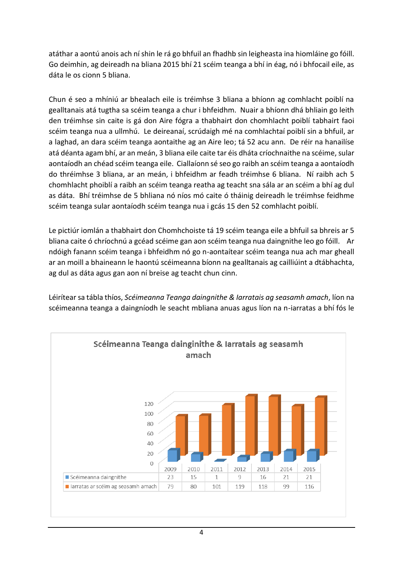atáthar a aontú anois ach ní shin le rá go bhfuil an fhadhb sin leigheasta ina hiomláine go fóill. Go deimhin, ag deireadh na bliana 2015 bhí 21 scéim teanga a bhí in éag, nó i bhfocail eile, as dáta le os cionn 5 bliana.

Chun é seo a mhíniú ar bhealach eile is tréimhse 3 bliana a bhíonn ag comhlacht poiblí na gealltanais atá tugtha sa scéim teanga a chur i bhfeidhm. Nuair a bhíonn dhá bhliain go leith den tréimhse sin caite is gá don Aire fógra a thabhairt don chomhlacht poiblí tabhairt faoi scéim teanga nua a ullmhú. Le deireanaí, scrúdaigh mé na comhlachtaí poiblí sin a bhfuil, ar a laghad, an dara scéim teanga aontaithe ag an Aire leo; tá 52 acu ann. De réir na hanailíse atá déanta agam bhí, ar an meán, 3 bliana eile caite tar éis dháta críochnaithe na scéime, sular aontaíodh an chéad scéim teanga eile. Ciallaíonn sé seo go raibh an scéim teanga a aontaíodh do thréimhse 3 bliana, ar an meán, i bhfeidhm ar feadh tréimhse 6 bliana. Ní raibh ach 5 chomhlacht phoiblí a raibh an scéim teanga reatha ag teacht sna sála ar an scéim a bhí ag dul as dáta. Bhí tréimhse de 5 bhliana nó níos mó caite ó tháinig deireadh le tréimhse feidhme scéim teanga sular aontaíodh scéim teanga nua i gcás 15 den 52 comhlacht poiblí.

Le pictiúr iomlán a thabhairt don Chomhchoiste tá 19 scéim teanga eile a bhfuil sa bhreis ar 5 bliana caite ó chríochnú a gcéad scéime gan aon scéim teanga nua daingnithe leo go fóill. Ar ndóigh fanann scéim teanga i bhfeidhm nó go n-aontaítear scéim teanga nua ach mar gheall ar an moill a bhaineann le haontú scéimeanna bíonn na gealltanais ag cailliúint a dtábhachta, ag dul as dáta agus gan aon ní breise ag teacht chun cinn.

Léirítearsa tábla thíos, *Scéimeanna Teanga daingnithe & Iarratais ag seasamh amach*, líon na scéimeanna teanga a daingníodh le seacht mbliana anuas agus líon na n-iarratas a bhí fós le

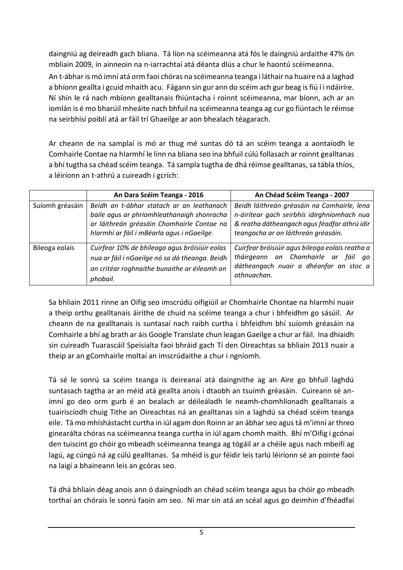daingniú ag deireadh gach bliana. Tá líon na scéimeanna atá fós le daingniú ardaithe 47% ón mbliain 2009, in ainneoin na n-iarrachtaí atá déanta dlús a chur le haontú scéimeanna.

An t-ábhar is mó imní atá orm faoi chóras na scéimeanna teanga i láthair na huaire ná a laghad a bhíonn geallta i gcuid mhaith acu. Fágann sin gur ann do scéim ach gur beag is fiú í i ndáiríre. Ní shin le rá nach mbíonn gealltanais fhiúntacha i roinnt scéimeanna, mar bíonn, ach ar an iomlán is é mo bharúil mheáite nach bhfuil na scéimeanna teanga ag cur go fiúntach le réimse na seirbhísí poiblí atá ar fáil trí Ghaeilge ar aon bhealach téagarach.

Ar cheann de na samplaí is mó ar thug mé suntas dó tá an scéim teanga a aontaíodh le Comhairle Contae na hIarmhí le linn na bliana seo ina bhfuil cúlú follasach ar roinnt gealltanas a bhí tugtha sa chéad scéim teanga. Tá sampla tugtha de dhá réimse gealltanas, sa tábla thíos, a léiríonn an t-athrú a cuireadh i gcrích:

|                 | An Dara Scéim Teanga - 2016                                                                                                                                                         | An Chéad Scéim Teanga - 2007                                                                                                                                                      |
|-----------------|-------------------------------------------------------------------------------------------------------------------------------------------------------------------------------------|-----------------------------------------------------------------------------------------------------------------------------------------------------------------------------------|
| Suíomh gréasáin | Beidh an t-ábhar statach ar an leathanach<br>baile agus ar phríomhleathanaigh shonracha<br>ar láithreán gréasáin Chomhairle Contae na<br>hlarmhí ar fáil i mBéarla agus i nGaeilge. | Beidh láithreán gréasáin na Comhairle, lena<br>n-áirítear gach seirbhís idirghníomhach nua<br>& reatha dátheangach agus féadfar athrú idir<br>teangacha ar an láithreán gréasáin. |
| Bileoga eolais  | Cuirfear 10% de bhileoga agus bróisiúir eolas<br>nua ar fáil i nGaeilge nó sa dá theanga. Beidh<br>an critéar roghnaithe bunaithe ar éileamh an<br>phobail.                         | Cuirfear bróisiúir agus bileoga eolais reatha a<br>tháirgeann an Chomhairle ar<br>fáil<br>ao<br>dátheangach nuair a dhéanfar an stoc a<br>athnuachan.                             |

Sa bhliain 2011 rinne an Oifig seo imscrúdú oifigiúil ar Chomhairle Chontae na hIarmhí nuair a theip orthu gealltanais áirithe de chuid na scéime teanga a chur i bhfeidhm go sásúil. Ar cheann de na gealltanais is suntasaí nach raibh curtha i bhfeidhm bhí suíomh gréasáin na Comhairle a bhí ag brath ar áis Google Translate chun leagan Gaeilge a chur ar fáil. Ina dhiaidh sin cuireadh Tuarascáil Speisialta faoi bhráid gach Tí den Oireachtas sa bhliain 2013 nuair a theip ar an gComhairle moltaí an imscrúdaithe a chur i ngníomh.

Tá sé le sonrú sa scéim teanga is deireanaí atá daingnithe ag an Aire go bhfuil laghdú suntasach tagtha ar an méid atá geallta anois i dtaobh an tsuímh gréasáin. Cuireann sé animní go deo orm gurb é an bealach ar déileáladh le neamh-chomhlíonadh gealltanais a tuairiscíodh chuig Tithe an Oireachtas ná an gealltanas sin a laghdú sa chéad scéim teanga eile. Tá mo mhíshástacht curtha in iúl agam don Roinn ar an ábhar seo agus tá m'imní ar threo ginearálta chóras na scéimeanna teanga curtha in iúl agam chomh maith. Bhí m'Oifig i gcónaí den tuiscint go chóir go mbeadh scéimeanna teanga ag tógáil ar a chéile agus nach mbeifí ag lagú, ag cúngú ná ag cúlú gealltanas. Sa mhéid is gur féidir leis tarlú léiríonn sé an pointe faoi na laigí a bhaineann leis an gcóras seo.

Tá dhá bhliain déag anois ann ó daingníodh an chéad scéim teanga agus ba chóir go mbeadh torthaí an chórais le sonrú faoin am seo. Ní mar sin atá an scéal agus go deimhin d'fhéadfaí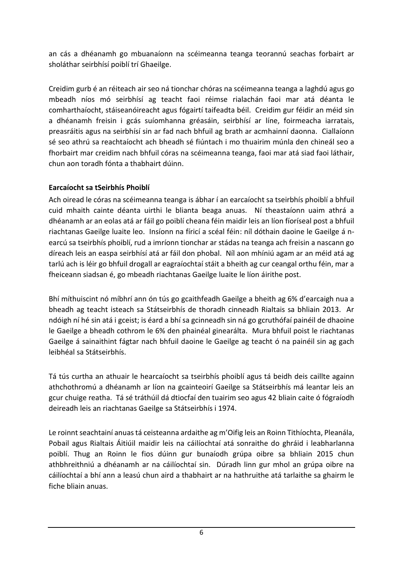an cás a dhéanamh go mbuanaíonn na scéimeanna teanga teorannú seachas forbairt ar sholáthar seirbhísí poiblí trí Ghaeilge.

Creidim gurb é an réiteach air seo ná tionchar chóras na scéimeanna teanga a laghdú agus go mbeadh níos mó seirbhísí ag teacht faoi réimse rialachán faoi mar atá déanta le comharthaíocht, stáiseanóireacht agus fógairtí taifeadta béil. Creidim gur féidir an méid sin a dhéanamh freisin i gcás suíomhanna gréasáin, seirbhísí ar líne, foirmeacha iarratais, preasráitis agus na seirbhísí sin ar fad nach bhfuil ag brath ar acmhainní daonna. Ciallaíonn sé seo athrú sa reachtaíocht ach bheadh sé fiúntach i mo thuairim múnla den chineál seo a fhorbairt mar creidim nach bhfuil córas na scéimeanna teanga, faoi mar atá siad faoi láthair, chun aon toradh fónta a thabhairt dúinn.

# **Earcaíocht sa tSeirbhís Phoiblí**

Ach oiread le córas na scéimeanna teanga is ábhar í an earcaíocht sa tseirbhís phoiblí a bhfuil cuid mhaith cainte déanta uirthi le blianta beaga anuas. Ní theastaíonn uaim athrá a dhéanamh ar an eolas atá ar fáil go poiblí cheana féin maidir leis an líon fíoríseal post a bhfuil riachtanas Gaeilge luaite leo. Insíonn na fíricí a scéal féin: níl dóthain daoine le Gaeilge á nearcú sa tseirbhís phoiblí, rud a imríonn tionchar ar stádas na teanga ach freisin a nascann go díreach leis an easpa seirbhísí atá ar fáil don phobal. Níl aon mhíniú agam ar an méid atá ag tarlú ach is léir go bhfuil drogall ar eagraíochtaí stáit a bheith ag cur ceangal orthu féin, mar a fheiceann siadsan é, go mbeadh riachtanas Gaeilge luaite le líon áirithe post.

Bhí míthuiscint nó míbhrí ann ón tús go gcaithfeadh Gaeilge a bheith ag 6% d'earcaigh nua a bheadh ag teacht isteach sa Státseirbhís de thoradh cinneadh Rialtais sa bhliain 2013. Ar ndóigh ní hé sin atá i gceist; is éard a bhí sa gcinneadh sin ná go gcruthófaí painéil de dhaoine le Gaeilge a bheadh cothrom le 6% den phainéal ginearálta. Mura bhfuil poist le riachtanas Gaeilge á sainaithint fágtar nach bhfuil daoine le Gaeilge ag teacht ó na painéil sin ag gach leibhéal sa Státseirbhís.

Tá tús curtha an athuair le hearcaíocht sa tseirbhís phoiblí agus tá beidh deis caillte againn athchothromú a dhéanamh ar líon na gcainteoirí Gaeilge sa Státseirbhís má leantar leis an gcur chuige reatha. Tá sé tráthúil dá dtiocfaí den tuairim seo agus 42 bliain caite ó fógraíodh deireadh leis an riachtanas Gaeilge sa Státseirbhís i 1974.

Le roinnt seachtainí anuas tá ceisteanna ardaithe ag m'Oifig leis an Roinn Tithíochta, Pleanála, Pobail agus Rialtais Áitiúil maidir leis na cáilíochtaí atá sonraithe do ghráid i leabharlanna poiblí. Thug an Roinn le fios dúinn gur bunaíodh grúpa oibre sa bhliain 2015 chun athbhreithniú a dhéanamh ar na cáilíochtaí sin. Dúradh linn gur mhol an grúpa oibre na cáilíochtaí a bhí ann a leasú chun aird a thabhairt ar na hathruithe atá tarlaithe sa ghairm le fiche bliain anuas.